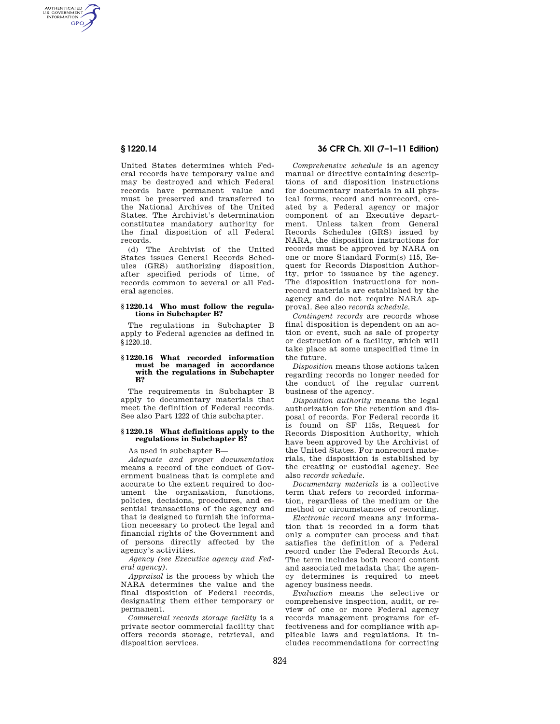AUTHENTICATED<br>U.S. GOVERNMENT<br>INFORMATION **GPO** 

> United States determines which Federal records have temporary value and may be destroyed and which Federal records have permanent value and must be preserved and transferred to the National Archives of the United States. The Archivist's determination constitutes mandatory authority for the final disposition of all Federal records.

> (d) The Archivist of the United States issues General Records Schedules (GRS) authorizing disposition, after specified periods of time, of records common to several or all Federal agencies.

#### **§ 1220.14 Who must follow the regulations in Subchapter B?**

The regulations in Subchapter B apply to Federal agencies as defined in §1220.18.

#### **§ 1220.16 What recorded information must be managed in accordance with the regulations in Subchapter B?**

The requirements in Subchapter B apply to documentary materials that meet the definition of Federal records. See also Part 1222 of this subchapter.

## **§ 1220.18 What definitions apply to the regulations in Subchapter B?**

As used in subchapter B—

*Adequate and proper documentation*  means a record of the conduct of Government business that is complete and accurate to the extent required to document the organization, functions, policies, decisions, procedures, and essential transactions of the agency and that is designed to furnish the information necessary to protect the legal and financial rights of the Government and of persons directly affected by the agency's activities.

*Agency (see Executive agency and Federal agency)*.

*Appraisal* is the process by which the NARA determines the value and the final disposition of Federal records, designating them either temporary or permanent.

*Commercial records storage facility* is a private sector commercial facility that offers records storage, retrieval, and disposition services.

# **§ 1220.14 36 CFR Ch. XII (7–1–11 Edition)**

*Comprehensive schedule* is an agency manual or directive containing descriptions of and disposition instructions for documentary materials in all physical forms, record and nonrecord, created by a Federal agency or major component of an Executive department. Unless taken from General Records Schedules (GRS) issued by NARA, the disposition instructions for records must be approved by NARA on one or more Standard Form(s) 115, Request for Records Disposition Authority, prior to issuance by the agency. The disposition instructions for nonrecord materials are established by the agency and do not require NARA approval. See also *records schedule.* 

*Contingent records* are records whose final disposition is dependent on an action or event, such as sale of property or destruction of a facility, which will take place at some unspecified time in the future.

*Disposition* means those actions taken regarding records no longer needed for the conduct of the regular current business of the agency.

*Disposition authority* means the legal authorization for the retention and disposal of records. For Federal records it is found on SF 115s, Request for Records Disposition Authority, which have been approved by the Archivist of the United States. For nonrecord materials, the disposition is established by the creating or custodial agency. See also *records schedule.* 

*Documentary materials* is a collective term that refers to recorded information, regardless of the medium or the method or circumstances of recording.

*Electronic record* means any information that is recorded in a form that only a computer can process and that satisfies the definition of a Federal record under the Federal Records Act. The term includes both record content and associated metadata that the agency determines is required to meet agency business needs.

*Evaluation* means the selective or comprehensive inspection, audit, or review of one or more Federal agency records management programs for effectiveness and for compliance with applicable laws and regulations. It includes recommendations for correcting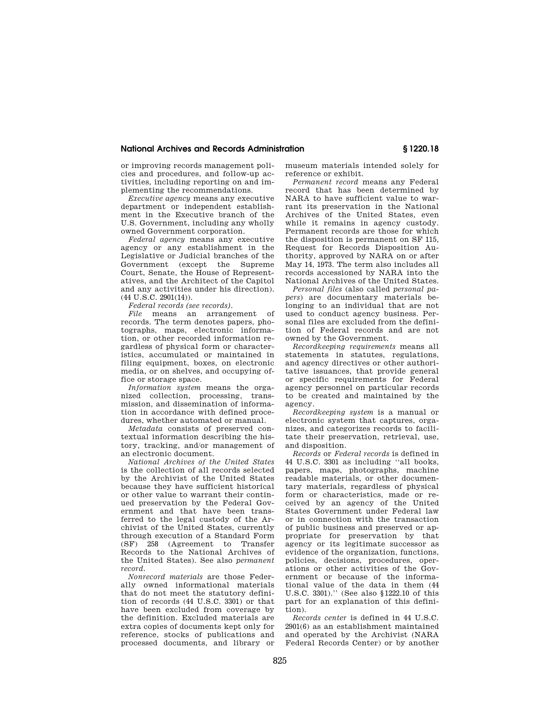## **National Archives and Records Administration § 1220.18**

or improving records management policies and procedures, and follow-up activities, including reporting on and implementing the recommendations.

*Executive agency* means any executive department or independent establishment in the Executive branch of the U.S. Government, including any wholly owned Government corporation.

*Federal agency* means any executive agency or any establishment in the Legislative or Judicial branches of the Government (except the Supreme Court, Senate, the House of Representatives, and the Architect of the Capitol and any activities under his direction). (44 U.S.C. 2901(14)).

*Federal records (see records)*.

*File* means an arrangement of records. The term denotes papers, photographs, maps, electronic information, or other recorded information regardless of physical form or characteristics, accumulated or maintained in filing equipment, boxes, on electronic media, or on shelves, and occupying office or storage space.

*Information system* means the organized collection, processing, transmission, and dissemination of information in accordance with defined procedures, whether automated or manual.

*Metadata* consists of preserved contextual information describing the history, tracking, and/or management of an electronic document.

*National Archives of the United States*  is the collection of all records selected by the Archivist of the United States because they have sufficient historical or other value to warrant their continued preservation by the Federal Government and that have been transferred to the legal custody of the Archivist of the United States, currently through execution of a Standard Form (SF) 258 (Agreement to Transfer Records to the National Archives of the United States). See also *permanent record.* 

*Nonrecord materials* are those Federally owned informational materials that do not meet the statutory definition of records (44 U.S.C. 3301) or that have been excluded from coverage by the definition. Excluded materials are extra copies of documents kept only for reference, stocks of publications and processed documents, and library or

museum materials intended solely for reference or exhibit.

*Permanent record* means any Federal record that has been determined by NARA to have sufficient value to warrant its preservation in the National Archives of the United States, even while it remains in agency custody. Permanent records are those for which the disposition is permanent on SF 115, Request for Records Disposition Authority, approved by NARA on or after May 14, 1973. The term also includes all records accessioned by NARA into the National Archives of the United States.

*Personal files* (also called *personal papers*) are documentary materials belonging to an individual that are not used to conduct agency business. Personal files are excluded from the definition of Federal records and are not owned by the Government.

*Recordkeeping requirements* means all statements in statutes, regulations, and agency directives or other authoritative issuances, that provide general or specific requirements for Federal agency personnel on particular records to be created and maintained by the agency.

*Recordkeeping system* is a manual or electronic system that captures, organizes, and categorizes records to facilitate their preservation, retrieval, use, and disposition.

*Records* or *Federal records* is defined in 44 U.S.C. 3301 as including ''all books, papers, maps, photographs, machine readable materials, or other documentary materials, regardless of physical form or characteristics, made or received by an agency of the United States Government under Federal law or in connection with the transaction of public business and preserved or appropriate for preservation by that agency or its legitimate successor as evidence of the organization, functions, policies, decisions, procedures, operations or other activities of the Government or because of the informational value of the data in them (44 U.S.C. 3301).'' (See also §1222.10 of this part for an explanation of this definition).

*Records center* is defined in 44 U.S.C. 2901(6) as an establishment maintained and operated by the Archivist (NARA Federal Records Center) or by another